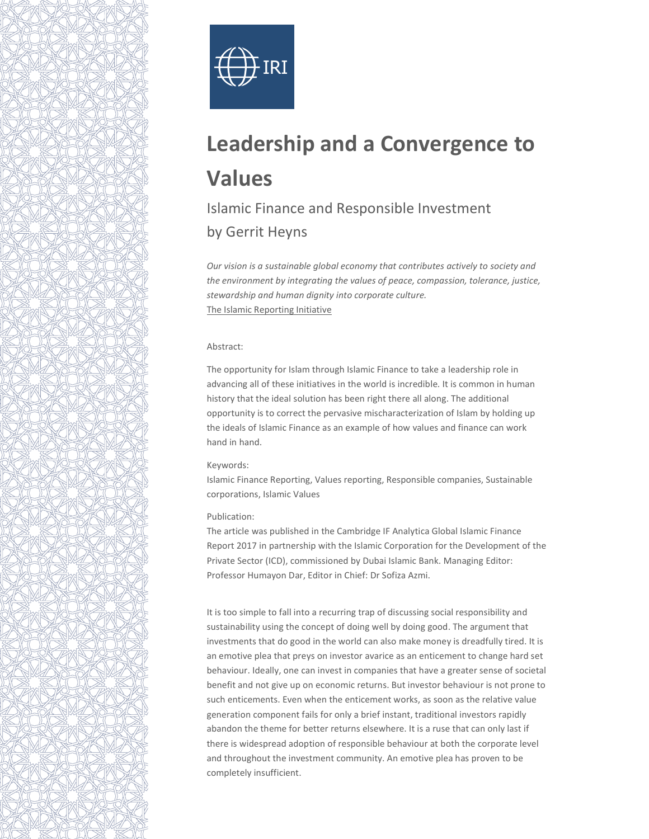



# Leadership and a Convergence to Values

## Islamic Finance and Responsible Investment by Gerrit Heyns

Our vision is a sustainable global economy that contributes actively to society and the environment by integrating the values of peace, compassion, tolerance, justice, stewardship and human dignity into corporate culture. The Islamic Reporting Initiative

### Abstract:

The opportunity for Islam through Islamic Finance to take a leadership role in advancing all of these initiatives in the world is incredible. It is common in human history that the ideal solution has been right there all along. The additional opportunity is to correct the pervasive mischaracterization of Islam by holding up the ideals of Islamic Finance as an example of how values and finance can work hand in hand.

#### Keywords:

Islamic Finance Reporting, Values reporting, Responsible companies, Sustainable corporations, Islamic Values

#### Publication:

The article was published in the Cambridge IF Analytica Global Islamic Finance Report 2017 in partnership with the Islamic Corporation for the Development of the Private Sector (ICD), commissioned by Dubai Islamic Bank. Managing Editor: Professor Humayon Dar, Editor in Chief: Dr Sofiza Azmi.

It is too simple to fall into a recurring trap of discussing social responsibility and sustainability using the concept of doing well by doing good. The argument that investments that do good in the world can also make money is dreadfully tired. It is an emotive plea that preys on investor avarice as an enticement to change hard set behaviour. Ideally, one can invest in companies that have a greater sense of societal benefit and not give up on economic returns. But investor behaviour is not prone to such enticements. Even when the enticement works, as soon as the relative value generation component fails for only a brief instant, traditional investors rapidly abandon the theme for better returns elsewhere. It is a ruse that can only last if there is widespread adoption of responsible behaviour at both the corporate level and throughout the investment community. An emotive plea has proven to be completely insufficient.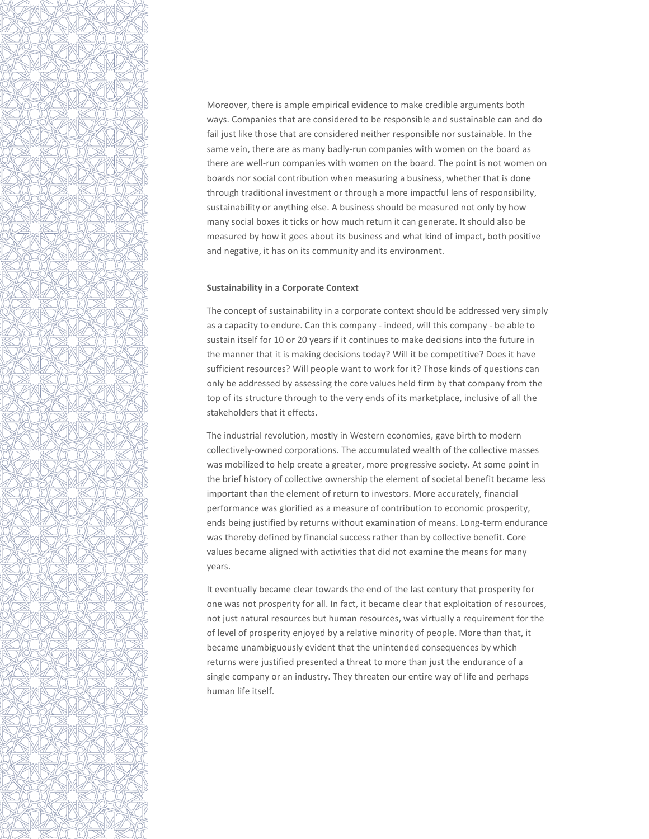Moreover, there is ample empirical evidence to make credible arguments both ways. Companies that are considered to be responsible and sustainable can and do fail just like those that are considered neither responsible nor sustainable. In the same vein, there are as many badly-run companies with women on the board as there are well-run companies with women on the board. The point is not women on boards nor social contribution when measuring a business, whether that is done through traditional investment or through a more impactful lens of responsibility, sustainability or anything else. A business should be measured not only by how many social boxes it ticks or how much return it can generate. It should also be measured by how it goes about its business and what kind of impact, both positive and negative, it has on its community and its environment.

#### Sustainability in a Corporate Context

The concept of sustainability in a corporate context should be addressed very simply as a capacity to endure. Can this company - indeed, will this company - be able to sustain itself for 10 or 20 years if it continues to make decisions into the future in the manner that it is making decisions today? Will it be competitive? Does it have sufficient resources? Will people want to work for it? Those kinds of questions can only be addressed by assessing the core values held firm by that company from the top of its structure through to the very ends of its marketplace, inclusive of all the stakeholders that it effects.

The industrial revolution, mostly in Western economies, gave birth to modern collectively-owned corporations. The accumulated wealth of the collective masses was mobilized to help create a greater, more progressive society. At some point in the brief history of collective ownership the element of societal benefit became less important than the element of return to investors. More accurately, financial performance was glorified as a measure of contribution to economic prosperity, ends being justified by returns without examination of means. Long-term endurance was thereby defined by financial success rather than by collective benefit. Core values became aligned with activities that did not examine the means for many years.

It eventually became clear towards the end of the last century that prosperity for one was not prosperity for all. In fact, it became clear that exploitation of resources, not just natural resources but human resources, was virtually a requirement for the of level of prosperity enjoyed by a relative minority of people. More than that, it became unambiguously evident that the unintended consequences by which returns were justified presented a threat to more than just the endurance of a single company or an industry. They threaten our entire way of life and perhaps human life itself.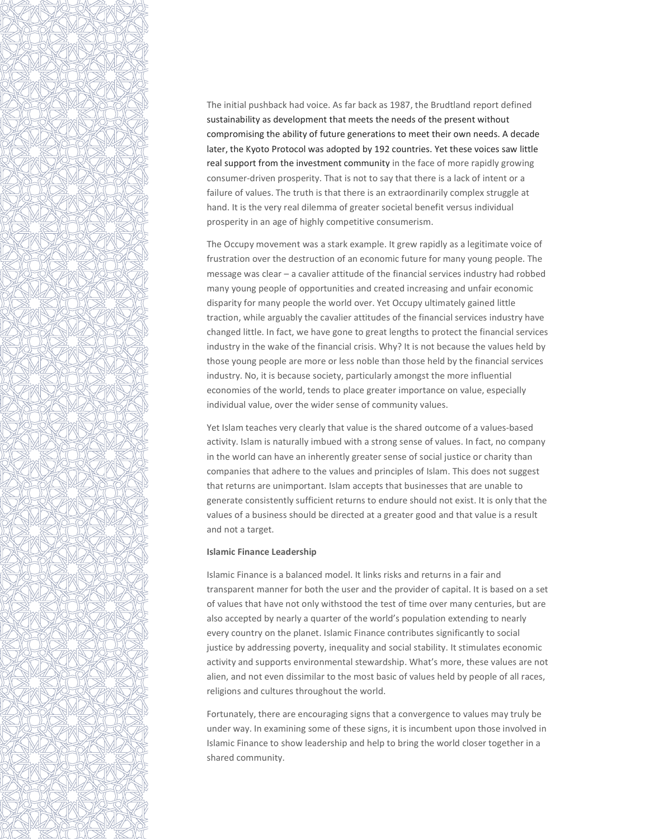

The initial pushback had voice. As far back as 1987, the Brudtland report defined sustainability as development that meets the needs of the present without compromising the ability of future generations to meet their own needs. A decade later, the Kyoto Protocol was adopted by 192 countries. Yet these voices saw little real support from the investment community in the face of more rapidly growing consumer-driven prosperity. That is not to say that there is a lack of intent or a failure of values. The truth is that there is an extraordinarily complex struggle at hand. It is the very real dilemma of greater societal benefit versus individual prosperity in an age of highly competitive consumerism.

The Occupy movement was a stark example. It grew rapidly as a legitimate voice of frustration over the destruction of an economic future for many young people. The message was clear – a cavalier attitude of the financial services industry had robbed many young people of opportunities and created increasing and unfair economic disparity for many people the world over. Yet Occupy ultimately gained little traction, while arguably the cavalier attitudes of the financial services industry have changed little. In fact, we have gone to great lengths to protect the financial services industry in the wake of the financial crisis. Why? It is not because the values held by those young people are more or less noble than those held by the financial services industry. No, it is because society, particularly amongst the more influential economies of the world, tends to place greater importance on value, especially individual value, over the wider sense of community values.

Yet Islam teaches very clearly that value is the shared outcome of a values-based activity. Islam is naturally imbued with a strong sense of values. In fact, no company in the world can have an inherently greater sense of social justice or charity than companies that adhere to the values and principles of Islam. This does not suggest that returns are unimportant. Islam accepts that businesses that are unable to generate consistently sufficient returns to endure should not exist. It is only that the values of a business should be directed at a greater good and that value is a result and not a target.

#### Islamic Finance Leadership

Islamic Finance is a balanced model. It links risks and returns in a fair and transparent manner for both the user and the provider of capital. It is based on a set of values that have not only withstood the test of time over many centuries, but are also accepted by nearly a quarter of the world's population extending to nearly every country on the planet. Islamic Finance contributes significantly to social justice by addressing poverty, inequality and social stability. It stimulates economic activity and supports environmental stewardship. What's more, these values are not alien, and not even dissimilar to the most basic of values held by people of all races, religions and cultures throughout the world.

Fortunately, there are encouraging signs that a convergence to values may truly be under way. In examining some of these signs, it is incumbent upon those involved in Islamic Finance to show leadership and help to bring the world closer together in a shared community.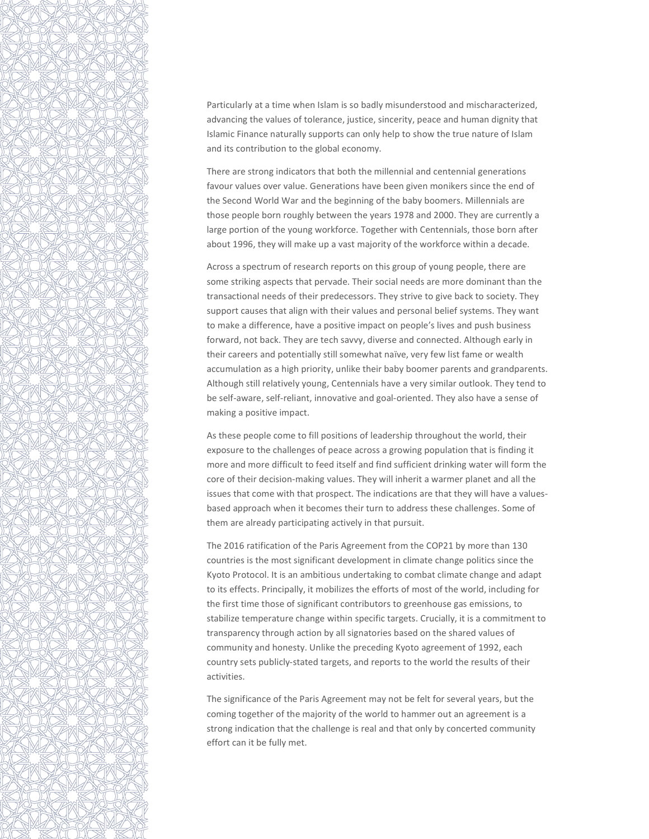

Particularly at a time when Islam is so badly misunderstood and mischaracterized, advancing the values of tolerance, justice, sincerity, peace and human dignity that Islamic Finance naturally supports can only help to show the true nature of Islam and its contribution to the global economy.

There are strong indicators that both the millennial and centennial generations favour values over value. Generations have been given monikers since the end of the Second World War and the beginning of the baby boomers. Millennials are those people born roughly between the years 1978 and 2000. They are currently a large portion of the young workforce. Together with Centennials, those born after about 1996, they will make up a vast majority of the workforce within a decade.

Across a spectrum of research reports on this group of young people, there are some striking aspects that pervade. Their social needs are more dominant than the transactional needs of their predecessors. They strive to give back to society. They support causes that align with their values and personal belief systems. They want to make a difference, have a positive impact on people's lives and push business forward, not back. They are tech savvy, diverse and connected. Although early in their careers and potentially still somewhat naïve, very few list fame or wealth accumulation as a high priority, unlike their baby boomer parents and grandparents. Although still relatively young, Centennials have a very similar outlook. They tend to be self-aware, self-reliant, innovative and goal-oriented. They also have a sense of making a positive impact.

As these people come to fill positions of leadership throughout the world, their exposure to the challenges of peace across a growing population that is finding it more and more difficult to feed itself and find sufficient drinking water will form the core of their decision-making values. They will inherit a warmer planet and all the issues that come with that prospect. The indications are that they will have a valuesbased approach when it becomes their turn to address these challenges. Some of them are already participating actively in that pursuit.

The 2016 ratification of the Paris Agreement from the COP21 by more than 130 countries is the most significant development in climate change politics since the Kyoto Protocol. It is an ambitious undertaking to combat climate change and adapt to its effects. Principally, it mobilizes the efforts of most of the world, including for the first time those of significant contributors to greenhouse gas emissions, to stabilize temperature change within specific targets. Crucially, it is a commitment to transparency through action by all signatories based on the shared values of community and honesty. Unlike the preceding Kyoto agreement of 1992, each country sets publicly-stated targets, and reports to the world the results of their activities.

The significance of the Paris Agreement may not be felt for several years, but the coming together of the majority of the world to hammer out an agreement is a strong indication that the challenge is real and that only by concerted community effort can it be fully met.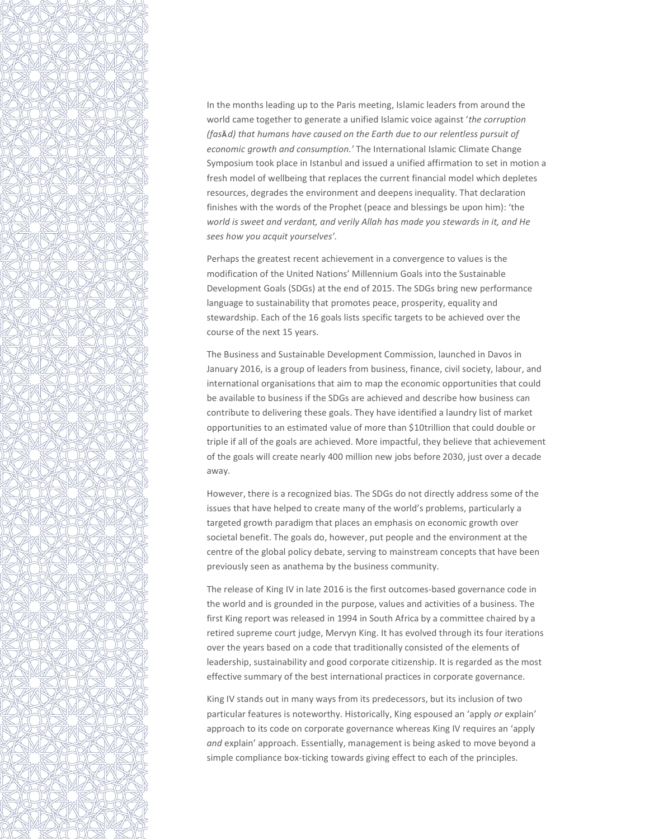

In the months leading up to the Paris meeting, Islamic leaders from around the world came together to generate a unified Islamic voice against 'the corruption (fasĀd) that humans have caused on the Earth due to our relentless pursuit of economic growth and consumption.' The International Islamic Climate Change Symposium took place in Istanbul and issued a unified affirmation to set in motion a fresh model of wellbeing that replaces the current financial model which depletes resources, degrades the environment and deepens inequality. That declaration finishes with the words of the Prophet (peace and blessings be upon him): 'the world is sweet and verdant, and verily Allah has made you stewards in it, and He sees how you acquit yourselves'.

Perhaps the greatest recent achievement in a convergence to values is the modification of the United Nations' Millennium Goals into the Sustainable Development Goals (SDGs) at the end of 2015. The SDGs bring new performance language to sustainability that promotes peace, prosperity, equality and stewardship. Each of the 16 goals lists specific targets to be achieved over the course of the next 15 years.

The Business and Sustainable Development Commission, launched in Davos in January 2016, is a group of leaders from business, finance, civil society, labour, and international organisations that aim to map the economic opportunities that could be available to business if the SDGs are achieved and describe how business can contribute to delivering these goals. They have identified a laundry list of market opportunities to an estimated value of more than \$10trillion that could double or triple if all of the goals are achieved. More impactful, they believe that achievement of the goals will create nearly 400 million new jobs before 2030, just over a decade away.

However, there is a recognized bias. The SDGs do not directly address some of the issues that have helped to create many of the world's problems, particularly a targeted growth paradigm that places an emphasis on economic growth over societal benefit. The goals do, however, put people and the environment at the centre of the global policy debate, serving to mainstream concepts that have been previously seen as anathema by the business community.

The release of King IV in late 2016 is the first outcomes-based governance code in the world and is grounded in the purpose, values and activities of a business. The first King report was released in 1994 in South Africa by a committee chaired by a retired supreme court judge, Mervyn King. It has evolved through its four iterations over the years based on a code that traditionally consisted of the elements of leadership, sustainability and good corporate citizenship. It is regarded as the most effective summary of the best international practices in corporate governance.

King IV stands out in many ways from its predecessors, but its inclusion of two particular features is noteworthy. Historically, King espoused an 'apply or explain' approach to its code on corporate governance whereas King IV requires an 'apply and explain' approach. Essentially, management is being asked to move beyond a simple compliance box-ticking towards giving effect to each of the principles.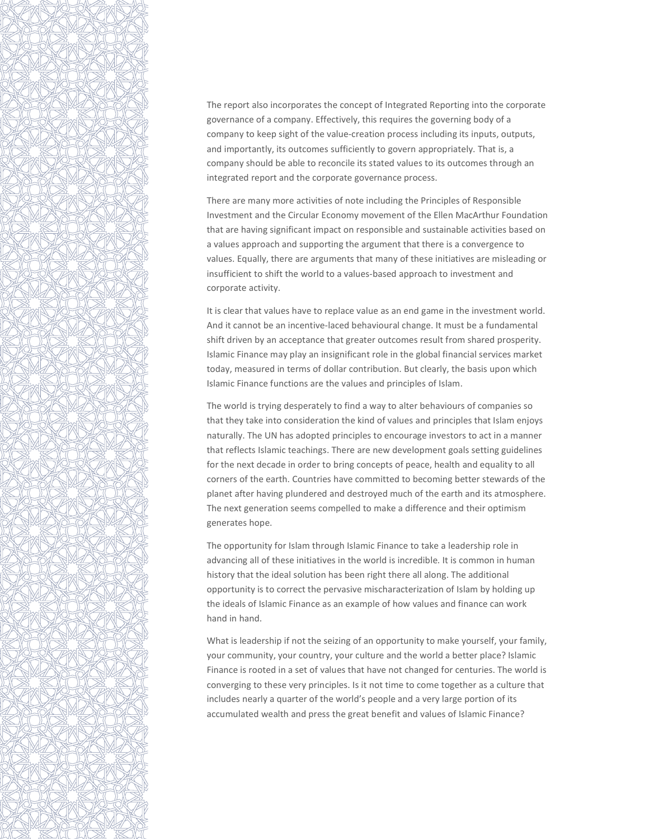

The report also incorporates the concept of Integrated Reporting into the corporate governance of a company. Effectively, this requires the governing body of a company to keep sight of the value-creation process including its inputs, outputs, and importantly, its outcomes sufficiently to govern appropriately. That is, a company should be able to reconcile its stated values to its outcomes through an integrated report and the corporate governance process.

There are many more activities of note including the Principles of Responsible Investment and the Circular Economy movement of the Ellen MacArthur Foundation that are having significant impact on responsible and sustainable activities based on a values approach and supporting the argument that there is a convergence to values. Equally, there are arguments that many of these initiatives are misleading or insufficient to shift the world to a values-based approach to investment and corporate activity.

It is clear that values have to replace value as an end game in the investment world. And it cannot be an incentive-laced behavioural change. It must be a fundamental shift driven by an acceptance that greater outcomes result from shared prosperity. Islamic Finance may play an insignificant role in the global financial services market today, measured in terms of dollar contribution. But clearly, the basis upon which Islamic Finance functions are the values and principles of Islam.

The world is trying desperately to find a way to alter behaviours of companies so that they take into consideration the kind of values and principles that Islam enjoys naturally. The UN has adopted principles to encourage investors to act in a manner that reflects Islamic teachings. There are new development goals setting guidelines for the next decade in order to bring concepts of peace, health and equality to all corners of the earth. Countries have committed to becoming better stewards of the planet after having plundered and destroyed much of the earth and its atmosphere. The next generation seems compelled to make a difference and their optimism generates hope.

The opportunity for Islam through Islamic Finance to take a leadership role in advancing all of these initiatives in the world is incredible. It is common in human history that the ideal solution has been right there all along. The additional opportunity is to correct the pervasive mischaracterization of Islam by holding up the ideals of Islamic Finance as an example of how values and finance can work hand in hand.

What is leadership if not the seizing of an opportunity to make yourself, your family, your community, your country, your culture and the world a better place? Islamic Finance is rooted in a set of values that have not changed for centuries. The world is converging to these very principles. Is it not time to come together as a culture that includes nearly a quarter of the world's people and a very large portion of its accumulated wealth and press the great benefit and values of Islamic Finance?